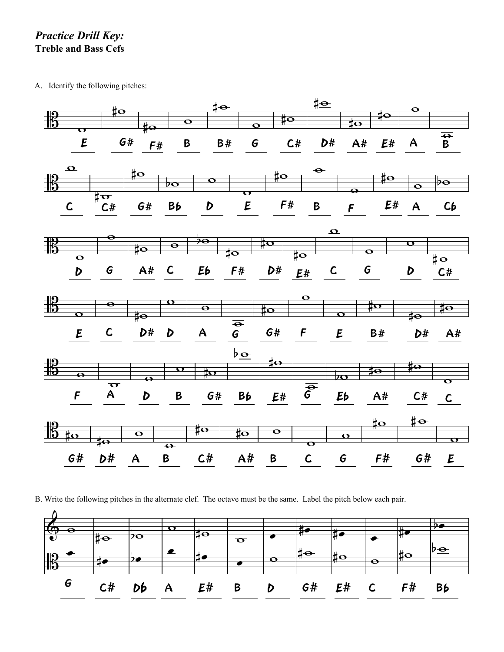## *Practice Drill Key:* **Treble and Bass Cefs**

A. Identify the following pitches:



B. Write the following pitches in the alternate clef. The octave must be the same. Label the pitch below each pair.